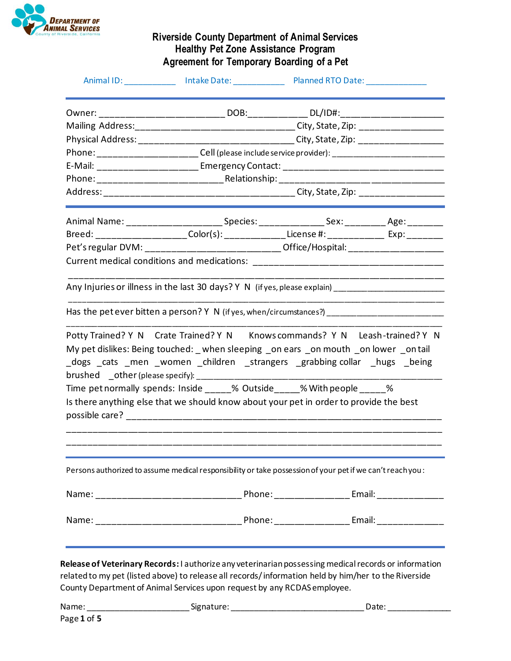

|                                                                                                                                                                                                                                                                                                                                                                                                                                                                                                                                                                                                                                          | Animal ID: The Contract of Linux Contract Contract Planned RTO Date: |  |
|------------------------------------------------------------------------------------------------------------------------------------------------------------------------------------------------------------------------------------------------------------------------------------------------------------------------------------------------------------------------------------------------------------------------------------------------------------------------------------------------------------------------------------------------------------------------------------------------------------------------------------------|----------------------------------------------------------------------|--|
|                                                                                                                                                                                                                                                                                                                                                                                                                                                                                                                                                                                                                                          |                                                                      |  |
| Mailing Address:________________________________City, State, Zip: ______________                                                                                                                                                                                                                                                                                                                                                                                                                                                                                                                                                         |                                                                      |  |
| Physical Address: ________________________________City, State, Zip: ____________                                                                                                                                                                                                                                                                                                                                                                                                                                                                                                                                                         |                                                                      |  |
| Phone: _________________________Cell (please include service provider): ____________________________                                                                                                                                                                                                                                                                                                                                                                                                                                                                                                                                     |                                                                      |  |
|                                                                                                                                                                                                                                                                                                                                                                                                                                                                                                                                                                                                                                          |                                                                      |  |
|                                                                                                                                                                                                                                                                                                                                                                                                                                                                                                                                                                                                                                          |                                                                      |  |
|                                                                                                                                                                                                                                                                                                                                                                                                                                                                                                                                                                                                                                          |                                                                      |  |
| Animal Name: _____________________________Species: _____________________Sex: _______________________                                                                                                                                                                                                                                                                                                                                                                                                                                                                                                                                     |                                                                      |  |
| Breed: _____________________Color(s): _______________License #: _______________ Exp: _________                                                                                                                                                                                                                                                                                                                                                                                                                                                                                                                                           |                                                                      |  |
| Pet's regular DVM: _____________________________Office/Hospital: _______________                                                                                                                                                                                                                                                                                                                                                                                                                                                                                                                                                         |                                                                      |  |
|                                                                                                                                                                                                                                                                                                                                                                                                                                                                                                                                                                                                                                          |                                                                      |  |
|                                                                                                                                                                                                                                                                                                                                                                                                                                                                                                                                                                                                                                          |                                                                      |  |
| Any Injuries or illness in the last 30 days? Y N (if yes, please explain) __________________________<br>Has the pet ever bitten a person? Y N (if yes, when/circumstances?) _______________________________<br>Potty Trained? Y N Crate Trained? Y N Knows commands? Y N Leash-trained? Y N<br>My pet dislikes: Being touched: _when sleeping _on ears _on mouth _on lower _on tail<br>_dogs _cats _men _women _children _strangers _grabbing collar _hugs _being<br>Time pet normally spends: Inside _____% Outside _____% With people ____ %<br>Is there anything else that we should know about your pet in order to provide the best |                                                                      |  |
| Persons authorized to assume medical responsibility or take possession of your pet if we can't reachyou :                                                                                                                                                                                                                                                                                                                                                                                                                                                                                                                                |                                                                      |  |
|                                                                                                                                                                                                                                                                                                                                                                                                                                                                                                                                                                                                                                          |                                                                      |  |

| Name | שור<br>,,,,,,,,<br>- - - | . | , 717<br>Dale. |  |
|------|--------------------------|---|----------------|--|
|      |                          |   |                |  |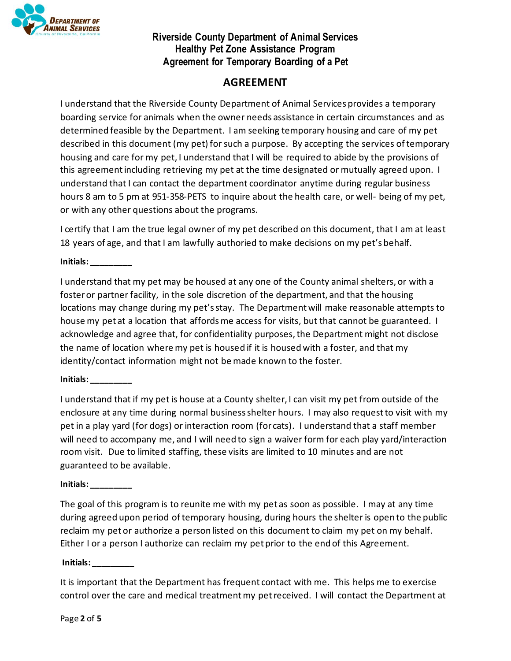

# **AGREEMENT**

I understand that the Riverside County Department of Animal Services provides a temporary boarding service for animals when the owner needs assistance in certain circumstances and as determined feasible by the Department. I am seeking temporary housing and care of my pet described in this document (my pet) for such a purpose. By accepting the services of temporary housing and care for my pet, I understand that I will be required to abide by the provisions of this agreement including retrieving my pet at the time designated or mutually agreed upon. I understand that I can contact the department coordinator anytime during regular business hours 8 am to 5 pm at 951-358-PETS to inquire about the health care, or well- being of my pet, or with any other questions about the programs.

I certify that I am the true legal owner of my pet described on this document, that I am at least 18 years of age, and that I am lawfully authoried to make decisions on my pet's behalf.

**Initials: \_\_\_\_\_\_\_\_\_**

I understand that my pet may be housed at any one of the County animal shelters, or with a foster or partner facility, in the sole discretion of the department, and that the housing locations may change during my pet's stay. The Department will make reasonable attempts to house my pet at a location that affords me access for visits, but that cannot be guaranteed. I acknowledge and agree that, for confidentiality purposes, the Department might not disclose the name of location where my pet is housed if it is housed with a foster, and that my identity/contact information might not be made known to the foster.

#### **Initials: \_\_\_\_\_\_\_\_\_**

I understand that if my pet is house at a County shelter, I can visit my pet from outside of the enclosure at any time during normal business shelter hours. I may also request to visit with my pet in a play yard (for dogs) or interaction room (for cats). I understand that a staff member will need to accompany me, and I will need to sign a waiver form for each play yard/interaction room visit. Due to limited staffing, these visits are limited to 10 minutes and are not guaranteed to be available.

#### **Initials: \_\_\_\_\_\_\_\_\_**

The goal of this program is to reunite me with my pet as soon as possible. I may at any time during agreed upon period of temporary housing, during hours the shelter is open to the public reclaim my pet or authorize a person listed on this document to claim my pet on my behalf. Either I or a person I authorize can reclaim my pet prior to the end of this Agreement.

**Initials: \_\_\_\_\_\_\_\_\_**

It is important that the Department has frequent contact with me. This helps me to exercise control over the care and medical treatment my pet received. I will contact the Department at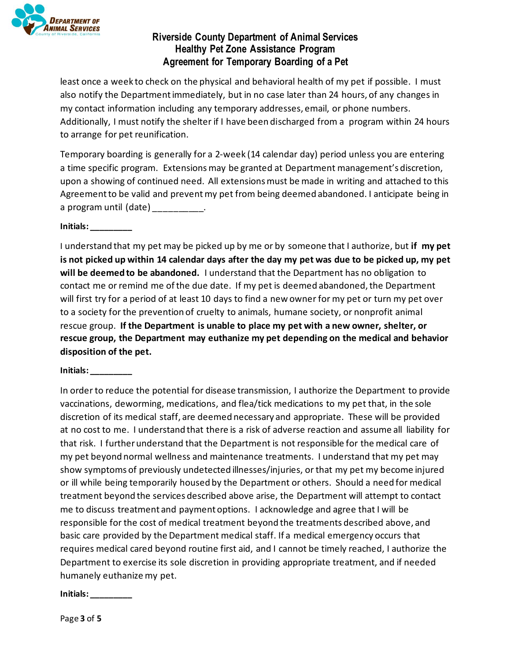

least once a week to check on the physical and behavioral health of my pet if possible. I must also notify the Department immediately, but in no case later than 24 hours, of any changes in my contact information including any temporary addresses, email, or phone numbers. Additionally, I must notify the shelter if I have been discharged from a program within 24 hours to arrange for pet reunification.

Temporary boarding is generally for a 2-week (14 calendar day) period unless you are entering a time specific program. Extensionsmay be granted at Department management's discretion, upon a showing of continued need. All extensions must be made in writing and attached to this Agreement to be valid and prevent my pet from being deemed abandoned. I anticipate being in a program until (date) and the control of the control of the control of the control of the control of the contr

**Initials: \_\_\_\_\_\_\_\_\_**

I understand that my pet may be picked up by me or by someone that I authorize, but **if my pet is not picked up within 14 calendar days after the day my pet was due to be picked up, my pet will be deemed to be abandoned.** I understand that the Department has no obligation to contact me or remind me of the due date. If my pet is deemed abandoned, the Department will first try for a period of at least 10 days to find a new owner for my pet or turn my pet over to a society for the prevention of cruelty to animals, humane society, or nonprofit animal rescue group. **If the Department is unable to place my pet with a new owner, shelter, or rescue group, the Department may euthanize my pet depending on the medical and behavior disposition of the pet.**

**Initials: \_\_\_\_\_\_\_\_\_**

In order to reduce the potential for disease transmission, I authorize the Department to provide vaccinations, deworming, medications, and flea/tick medications to my pet that, in the sole discretion of its medical staff, are deemed necessary and appropriate. These will be provided at no cost to me. I understand that there is a risk of adverse reaction and assume all liability for that risk. I further understand that the Department is not responsible for the medical care of my pet beyond normal wellness and maintenance treatments. I understand that my pet may show symptoms of previously undetected illnesses/injuries, or that my pet my become injured or ill while being temporarily housed by the Department or others. Should a need for medical treatment beyond the services described above arise, the Department will attempt to contact me to discuss treatment and payment options. I acknowledge and agree that I will be responsible for the cost of medical treatment beyond the treatments described above, and basic care provided by the Department medical staff. If a medical emergency occurs that requires medical cared beyond routine first aid, and I cannot be timely reached, I authorize the Department to exercise its sole discretion in providing appropriate treatment, and if needed humanely euthanize my pet.

**Initials: \_\_\_\_\_\_\_\_\_**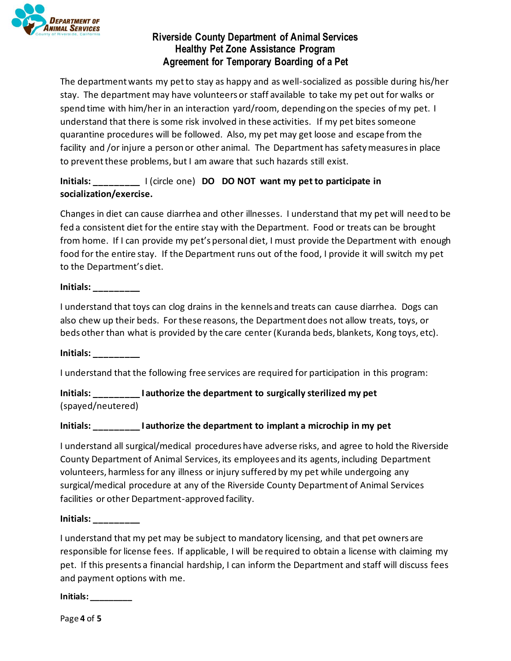

The department wants my pet to stay as happy and as well-socialized as possible during his/her stay. The department may have volunteers or staff available to take my pet out for walks or spend time with him/her in an interaction yard/room, depending on the species of my pet. I understand that there is some risk involved in these activities. If my pet bites someone quarantine procedures will be followed. Also, my pet may get loose and escape from the facility and /or injure a person or other animal. The Department has safety measures in place to prevent these problems, but I am aware that such hazards still exist.

## **Initials: \_\_\_\_\_\_\_\_\_** I (circle one) **DO DO NOT want my pet to participate in socialization/exercise.**

Changes in diet can cause diarrhea and other illnesses. I understand that my pet will need to be fed a consistent diet for the entire stay with the Department. Food or treats can be brought from home. If I can provide my pet's personal diet, I must provide the Department with enough food for the entire stay. If the Department runs out of the food, I provide it will switch my pet to the Department's diet.

**Initials: \_\_\_\_\_\_\_\_\_**

I understand that toys can clog drains in the kennels and treats can cause diarrhea. Dogs can also chew up their beds. For these reasons, the Department does not allow treats, toys, or beds other than what is provided by the care center (Kuranda beds, blankets, Kong toys, etc).

**Initials: \_\_\_\_\_\_\_\_\_**

I understand that the following free services are required for participation in this program:

**Initials: \_\_\_\_\_\_\_\_\_ I authorize the department to surgically sterilized my pet** (spayed/neutered)

#### **Initials: \_\_\_\_\_\_\_\_\_ I authorize the department to implant a microchip in my pet**

I understand all surgical/medical procedures have adverse risks, and agree to hold the Riverside County Department of Animal Services, its employees and its agents, including Department volunteers, harmless for any illness or injury suffered by my pet while undergoing any surgical/medical procedure at any of the Riverside County Department of Animal Services facilities or other Department-approved facility.

**Initials: \_\_\_\_\_\_\_\_\_**

I understand that my pet may be subject to mandatory licensing, and that pet owners are responsible for license fees. If applicable, I will be required to obtain a license with claiming my pet. If this presents a financial hardship, I can inform the Department and staff will discuss fees and payment options with me.

**Initials: \_\_\_\_\_\_\_\_\_**